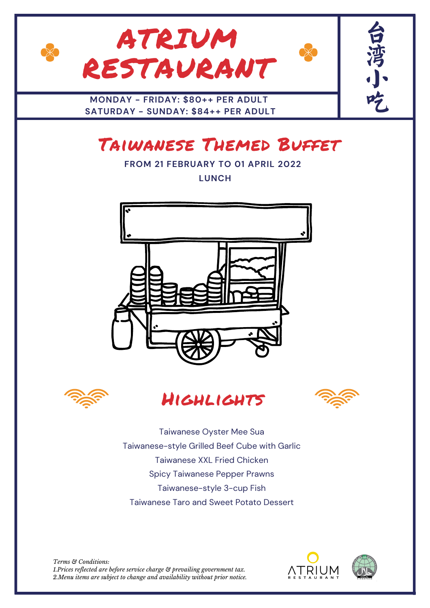

# Taiwanese Themed Buffet

**FROM 21 FEBRUARY TO 01 APRIL 2022 LUNCH**









Taiwanese Oyster Mee Sua Taiwanese-style Grilled Beef Cube with Garlic Taiwanese XXL Fried Chicken Spicy Taiwanese Pepper Prawns Taiwanese-style 3-cup Fish Taiwanese Taro and Sweet Potato Dessert

*Terms & Conditions: 1.Prices reflected are before service charge & prevailing government tax. 2.Menu items are subject to change and availability without prior notice.*



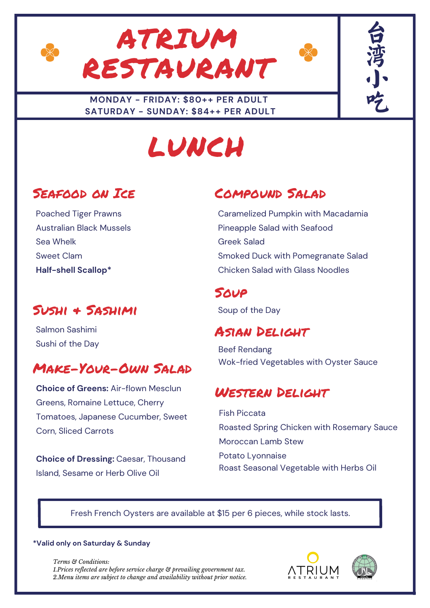





# LUNCH

# Seafood on Ice

Poached Tiger Prawns Australian Black Mussels Sea Whelk Sweet Clam **Half-shell Scallop\***

# Sushi & Sashimi

Salmon Sashimi Sushi of the Day

# Make-Your-Own Salad

**Choice of Greens:** Air-flown Mesclun Greens, Romaine Lettuce, Cherry Tomatoes, Japanese Cucumber, Sweet Corn, Sliced Carrots

**Choice of Dressing:** Caesar, Thousand Island, Sesame or Herb Olive Oil

# Compound Salad

Caramelized Pumpkin with Macadamia Pineapple Salad with Seafood Greek Salad Smoked Duck with Pomegranate Salad Chicken Salad with Glass Noodles

## **SOUP**

Soup of the Day

## Asian Delight

Beef Rendang Wok-fried Vegetables with Oyster Sauce

#### Western Delight

Fish Piccata Roasted Spring Chicken with Rosemary Sauce Moroccan Lamb Stew Potato Lyonnaise Roast Seasonal Vegetable with Herbs Oil

#### Fresh French Oysters are available at \$15 per 6 pieces, while stock lasts.

#### **\*Valid only on Saturday & Sunday**

*Terms & Conditions: 1.Prices reflected are before service charge & prevailing government tax. 2.Menu items are subject to change and availability without prior notice.*





台

湾

小,

吃